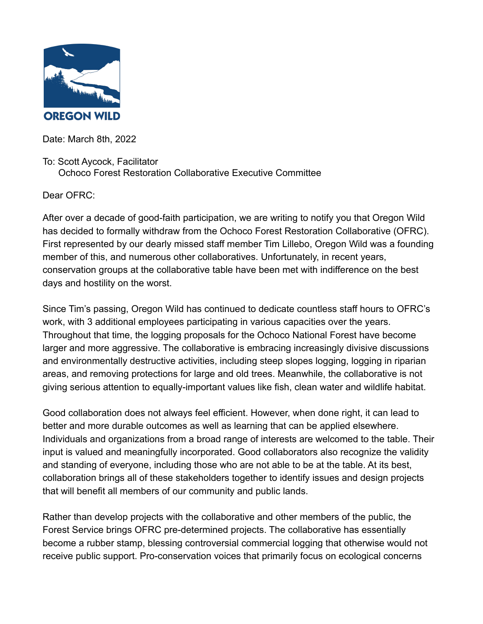

Date: March 8th, 2022

## To: Scott Aycock, Facilitator

Ochoco Forest Restoration Collaborative Executive Committee

Dear OFRC:

After over a decade of good-faith participation, we are writing to notify you that Oregon Wild has decided to formally withdraw from the Ochoco Forest Restoration Collaborative (OFRC). First represented by our dearly missed staff member Tim Lillebo, Oregon Wild was a founding member of this, and numerous other collaboratives. Unfortunately, in recent years, conservation groups at the collaborative table have been met with indifference on the best days and hostility on the worst.

Since Tim's passing, Oregon Wild has continued to dedicate countless staff hours to OFRC's work, with 3 additional employees participating in various capacities over the years. Throughout that time, the logging proposals for the Ochoco National Forest have become larger and more aggressive. The collaborative is embracing increasingly divisive discussions and environmentally destructive activities, including steep slopes logging, logging in riparian areas, and removing protections for large and old trees. Meanwhile, the collaborative is not giving serious attention to equally-important values like fish, clean water and wildlife habitat.

Good collaboration does not always feel efficient. However, when done right, it can lead to better and more durable outcomes as well as learning that can be applied elsewhere. Individuals and organizations from a broad range of interests are welcomed to the table. Their input is valued and meaningfully incorporated. Good collaborators also recognize the validity and standing of everyone, including those who are not able to be at the table. At its best, collaboration brings all of these stakeholders together to identify issues and design projects that will benefit all members of our community and public lands.

Rather than develop projects with the collaborative and other members of the public, the Forest Service brings OFRC pre-determined projects. The collaborative has essentially become a rubber stamp, blessing controversial commercial logging that otherwise would not receive public support. Pro-conservation voices that primarily focus on ecological concerns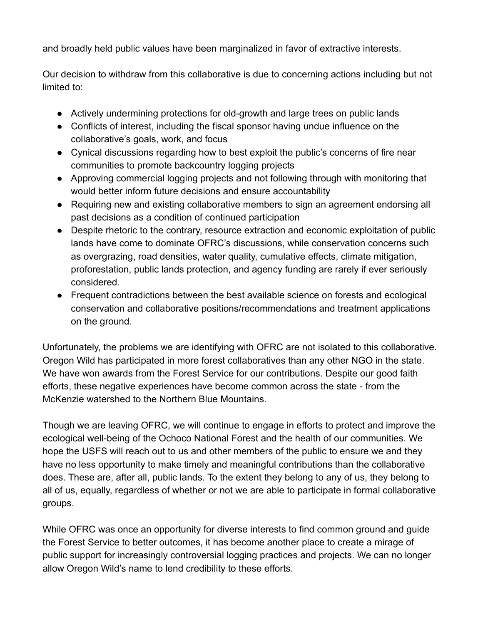and broadly held public values have been marginalized in favor of extractive interests.

Our decision to withdraw from this collaborative is due to concerning actions including but not limited to:

- Actively undermining protections for old-growth and large trees on public lands
- Conflicts of interest, including the fiscal sponsor having undue influence on the collaborative's goals, work, and focus
- Cynical discussions regarding how to best exploit the public's concerns of fire near communities to promote backcountry logging projects
- Approving commercial logging projects and not following through with monitoring that would better inform future decisions and ensure accountability
- Requiring new and existing collaborative members to sign an agreement endorsing all past decisions as a condition of continued participation
- Despite rhetoric to the contrary, resource extraction and economic exploitation of public lands have come to dominate OFRC's discussions, while conservation concerns such as overgrazing, road densities, water quality, cumulative effects, climate mitigation, proforestation, public lands protection, and agency funding are rarely if ever seriously considered.
- Frequent contradictions between the best available science on forests and ecological conservation and collaborative positions/recommendations and treatment applications on the ground.

Unfortunately, the problems we are identifying with OFRC are not isolated to this collaborative. Oregon Wild has participated in more forest collaboratives than any other NGO in the state. We have won awards from the Forest Service for our contributions. Despite our good faith efforts, these negative experiences have become common across the state - from the McKenzie watershed to the Northern Blue Mountains.

Though we are leaving OFRC, we will continue to engage in efforts to protect and improve the ecological well-being of the Ochoco National Forest and the health of our communities. We hope the USFS will reach out to us and other members of the public to ensure we and they have no less opportunity to make timely and meaningful contributions than the collaborative does. These are, after all, public lands. To the extent they belong to any of us, they belong to all of us, equally, regardless of whether or not we are able to participate in formal collaborative groups.

While OFRC was once an opportunity for diverse interests to find common ground and guide the Forest Service to better outcomes, it has become another place to create a mirage of public support for increasingly controversial logging practices and projects. We can no longer allow Oregon Wild's name to lend credibility to these efforts.